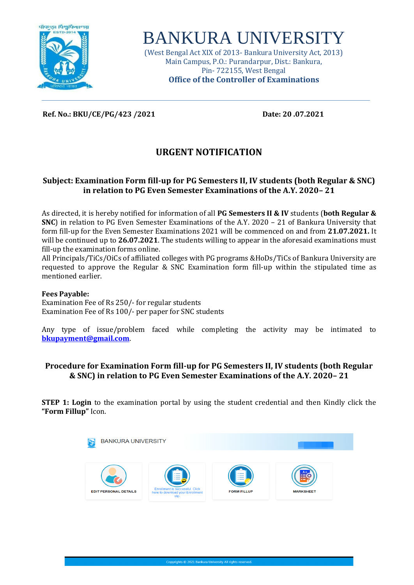

# BANKURA UNIVERSITY

(West Bengal Act XIX of 2013- Bankura University Act, 2013) Main Campus, P.O.: Purandarpur, Dist.: Bankura, Pin- 722155, West Bengal **Office of the Controller of Examinations**

### **Ref. No.: BKU/CE/PG/423 /2021 Date: 20 .07.2021**

# **URGENT NOTIFICATION**

# **Subject: Examination Form fill-up for PG Semesters II, IV students (both Regular & SNC) in relation to PG Even Semester Examinations of the A.Y. 2020– 21**

As directed, it is hereby notified for information of all **PG Semesters II & IV** students (**both Regular & SNC**) in relation to PG Even Semester Examinations of the A.Y. 2020 – 21 of Bankura University that form fill-up for the Even Semester Examinations 2021 will be commenced on and from **21.07.2021.** It will be continued up to **26.07.2021**. The students willing to appear in the aforesaid examinations must fill-up the examination forms online.

All Principals/TiCs/OiCs of affiliated colleges with PG programs &HoDs/TiCs of Bankura University are requested to approve the Regular & SNC Examination form fill-up within the stipulated time as mentioned earlier.

#### **Fees Payable:**

Examination Fee of Rs 250/- for regular students Examination Fee of Rs 100/- per paper for SNC students

Any type of issue/problem faced while completing the activity may be intimated to **[bkupayment@gmail.com](mailto:bkupayment@gmail.com)**.

## **Procedure for Examination Form fill-up for PG Semesters II, IV students (both Regular & SNC) in relation to PG Even Semester Examinations of the A.Y. 2020– 21**

**STEP 1: Login** to the examination portal by using the student credential and then Kindly click the **"Form Fillup"** Icon.

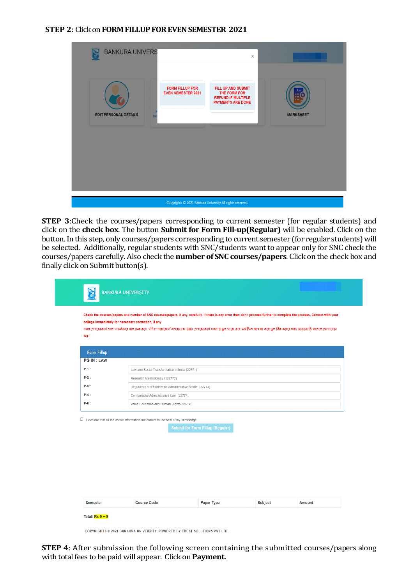#### **STEP 2**: Click on **FORM FILLUP FOR EVEN SEMESTER 2021**

| <b>BANKURA UNIVERS</b><br><b>EDIT PERSONAL DETAILS</b><br>he | <b>FORM FILLUP FOR</b><br><b>EVEN SEMESTER 2021</b> | $\boldsymbol{\mathsf{x}}$<br>FILL UP AND SUBMIT<br>THE FORM FOR<br><b>REFUND IF MULTIPLE</b><br><b>PAYMENTS ARE DONE</b> | <b>MARKSHEET</b> |
|--------------------------------------------------------------|-----------------------------------------------------|--------------------------------------------------------------------------------------------------------------------------|------------------|
|                                                              |                                                     | Copyrights @ 2021 Bankura University All rights reserved.                                                                |                  |

**STEP 3**:Check the courses/papers corresponding to current semester (for regular students) and click on the **check box**. The button **Submit for Form Fill-up(Regular)** will be enabled. Click on the button. In this step, only courses/papers corresponding to current semester (for regular students) will be selected. Additionally, regular students with SNC/students want to appear only for SNC check the courses/papers carefully. Also check the **number of SNC courses/papers**. Click on the check box and finally click on Submit button(s).

| <b>Form Fillup</b> |                                                                                                                                      |
|--------------------|--------------------------------------------------------------------------------------------------------------------------------------|
| <b>PG IN: LAW</b>  |                                                                                                                                      |
| P-1:               | Law and Social Transformation in India (22771)                                                                                       |
| $P-2$ :            | Research Methodology I (22772)                                                                                                       |
| P-3 :              | Regulatory Mechanism on Administrative Action (22773)                                                                                |
| $P-4:$             | Comparative Administrative Law (22774)                                                                                               |
| $P-6$ :            | Value Education and Human Rights (22756)                                                                                             |
|                    | $\Box$ I, declare that all the above information are correct to the best of my knowledge.<br><b>Submit for Form Fillup (Regular)</b> |
|                    |                                                                                                                                      |

COPYRIGHTS © 2021 BANKURA UNIVERSITY, POWERED BY EBEST SOLUTIONS PVT LTD.

**STEP 4**: After submission the following screen containing the submitted courses/papers along with total fees to be paid will appear. Click on **Payment.**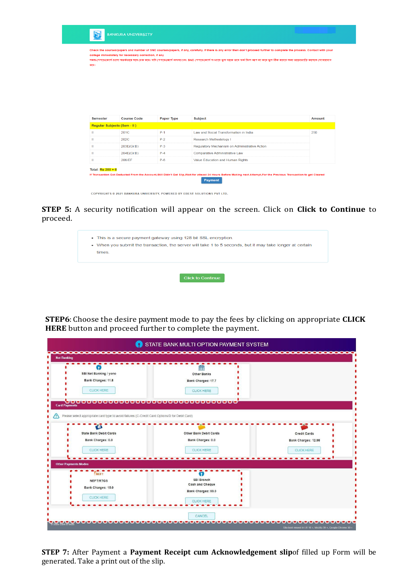ाणाः<br>कड़ाः

Check the courses/papers and number of SNC courses/papers, if any, carefully. If there is any error then don't proceed further to complete the process. Contact with your college immediately for necessary correction, if any -<br>সমন্ত শেশাবাকোৰ্গ গুলো সতৰ্কতাৰ সঙ্গ চক কৰা যদি শেশাবাকোৰে সাধা আগবাদ আৰক্ষী সংবাদ কৰা হল আগবা কৰে তুল ঠিক কৰাৰ অৰা তাড়াভাড়ি কলেজ যোগাযোগ

| <b>Semester</b>             | <b>Course Code</b> | <b>Paper Type</b> | <b>Subject</b>                                                                                                                                                         | Amount |
|-----------------------------|--------------------|-------------------|------------------------------------------------------------------------------------------------------------------------------------------------------------------------|--------|
| Regular Subjects (Sem - II) |                    |                   |                                                                                                                                                                        |        |
| ш                           | 201C               | $P-1$             | Law and Social Transformation in India                                                                                                                                 | 250    |
| H.                          | 202C               | $P-2$             | <b>Research Methodology I</b>                                                                                                                                          |        |
| $\mathbf{H}$                | 203E(Gr.B)         | $P-3$             | Regulatory Mechanism on Administrative Action                                                                                                                          |        |
| ш                           | 204E(Gr.B)         | $P-4$             | <b>Comparative Administrative Law</b>                                                                                                                                  |        |
| ш                           | 206/FF             | $P-6$             | Value Education and Human Rights                                                                                                                                       |        |
| Total: $Rs 250 + 0$         |                    |                   |                                                                                                                                                                        |        |
|                             |                    |                   | If Transaction Got Deducted From the Account, Still Didn't Get Slip, Wait for atleast 24 Hours Before Making next Attempt, For the Previous Transaction to get Cleared |        |
|                             |                    |                   | <b>Payment</b>                                                                                                                                                         |        |

COPYRIGHTS @ 2021 BANKURA UNIVERSITY, POWERED BY EBEST SOLUTIONS PVT LTD.

**STEP 5:** A security notification will appear on the screen. Click on **Click to Continue** to proceed.

| • This is a secure payment gateway using 128 bit SSL encryption.                                          |
|-----------------------------------------------------------------------------------------------------------|
| • When you submit the transaction, the server will take 1 to 5 seconds, but it may take longer at certain |
| times.                                                                                                    |
|                                                                                                           |
|                                                                                                           |
|                                                                                                           |
| Click to Continue                                                                                         |

**STEP6**: Choose the desire payment mode to pay the fees by clicking on appropriate **CLICK HERE** button and proceed further to complete the payment.

|                                                                                                                                                                                                   | STATE BANK MULTI OPTION PAYMENT SYSTEM                                                         |                                                                 |
|---------------------------------------------------------------------------------------------------------------------------------------------------------------------------------------------------|------------------------------------------------------------------------------------------------|-----------------------------------------------------------------|
| <b>Net Banking</b>                                                                                                                                                                                |                                                                                                |                                                                 |
| SBI Net Banking / yono<br>Bank Charges: 11.8<br><b>CLICK HERE</b>                                                                                                                                 | Ш<br><b>Other Banks</b><br>Bank Charges: 17.7<br>CLICK HERE<br><u>ooooooooooo</u><br>000000000 |                                                                 |
| <b>Card Payments</b><br>Please select appropriate card type to avoid failures (C-Credit Card Options/D for Debit Card)<br><b>State Bank Debit Cards</b><br>Bank Charges: 0.0<br><b>CLICK HERE</b> | Other Bank Debit Cards<br>Bank Charges: 0.0<br><b>CLICK HERE</b>                               | <b>Credit Cards</b><br>Bank Charges: 12.98<br><b>CLICK HERE</b> |
| <b>Other Payments Modes</b><br><b>NEFT</b><br>NEFT/RTGS<br>Bank Charges: 15.0<br><b>CLICK HERE</b>                                                                                                | $\bullet$<br><b>SBI Branch</b><br>Cash and Cheque<br>Bank Charges: 59.0<br><b>CLICK HERE</b>   |                                                                 |
|                                                                                                                                                                                                   | CANCEL                                                                                         | Site best viewed in I.E 10 +, Mozilla 30 +, Google Chrome 30 +  |

**STEP 7:** After Payment a **Payment Receipt cum Acknowledgement slip**of filled up Form will be generated. Take a print out of the slip.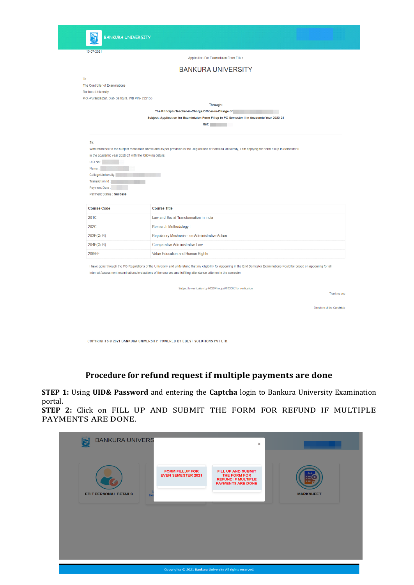15-07-2021

|                                                                                                                                                                                   | <b>BANKURA UNIVERSITY</b>                                                                                                                                                                                                                                                                         |
|-----------------------------------------------------------------------------------------------------------------------------------------------------------------------------------|---------------------------------------------------------------------------------------------------------------------------------------------------------------------------------------------------------------------------------------------------------------------------------------------------|
| To                                                                                                                                                                                |                                                                                                                                                                                                                                                                                                   |
| The Controller of Examinations                                                                                                                                                    |                                                                                                                                                                                                                                                                                                   |
| Bankura University,                                                                                                                                                               |                                                                                                                                                                                                                                                                                                   |
| P.O.-Purandarpur, Dist- Bankura. WB PIN- 722155                                                                                                                                   |                                                                                                                                                                                                                                                                                                   |
|                                                                                                                                                                                   | Through:                                                                                                                                                                                                                                                                                          |
|                                                                                                                                                                                   | The Principal/Teacher-in-Charge/Officer-in-Charge of                                                                                                                                                                                                                                              |
|                                                                                                                                                                                   | Subject: Application for Examintaion Form Fillup in PG Semester II in Academic Year 2020-21                                                                                                                                                                                                       |
|                                                                                                                                                                                   | <b>Ref:</b> Participate of the Second Second Second Second Second Second Second Second Second Second Second Second Second Second Second Second Second Second Second Second Second Second Second Second Second Second Second Second                                                                |
| Sir.<br>in the academic year 2020-21 with the following details:<br><b>UID No</b><br>Name:<br>College/University:<br>Transaction Id:<br>Payment Date:<br>Payment Status : Success | With reference to the subject mentioned above and as per provision in the Regulations of Bankura University, I am applying for Form Fillup in Semester II                                                                                                                                         |
| <b>Course Code</b>                                                                                                                                                                | <b>Course Title</b>                                                                                                                                                                                                                                                                               |
| 201C                                                                                                                                                                              | Law and Social Transformation in India                                                                                                                                                                                                                                                            |
| 202C                                                                                                                                                                              | Research Methodology I                                                                                                                                                                                                                                                                            |
| 203E(Gr.B)                                                                                                                                                                        | Regulatory Mechanism on Administrative Action                                                                                                                                                                                                                                                     |
| 204E(Gr.B)                                                                                                                                                                        | Comparative Administrative Law                                                                                                                                                                                                                                                                    |
| 206/EF                                                                                                                                                                            | Value Education and Human Rights                                                                                                                                                                                                                                                                  |
|                                                                                                                                                                                   | I have gone through the PG Regulations of the University and understand that my eligibility for appearing in the End Semester Examinations would be based on appearing for all<br>Internal Assessment examinations/evaluations of the courses and fulfilling attendance criterion in the semester |
|                                                                                                                                                                                   | Subject to verification by HOD/Principal/TIC/OIC for verification<br>Thanking you                                                                                                                                                                                                                 |
|                                                                                                                                                                                   | Signature of the Candidate                                                                                                                                                                                                                                                                        |

Application For Examintaion Form Fillup

COPYRIGHTS © 2021 BANKURA UNIVERSITY, POWERED BY EBEST SOLUTIONS PVT LTD.

# **Procedure for refund request if multiple payments are done**

**STEP 1:** Using **UID& Password** and entering the **Captcha** login to Bankura University Examination portal.

**STEP 2:** Click on FILL UP AND SUBMIT THE FORM FOR REFUND IF MULTIPLE PAYMENTS ARE DONE.